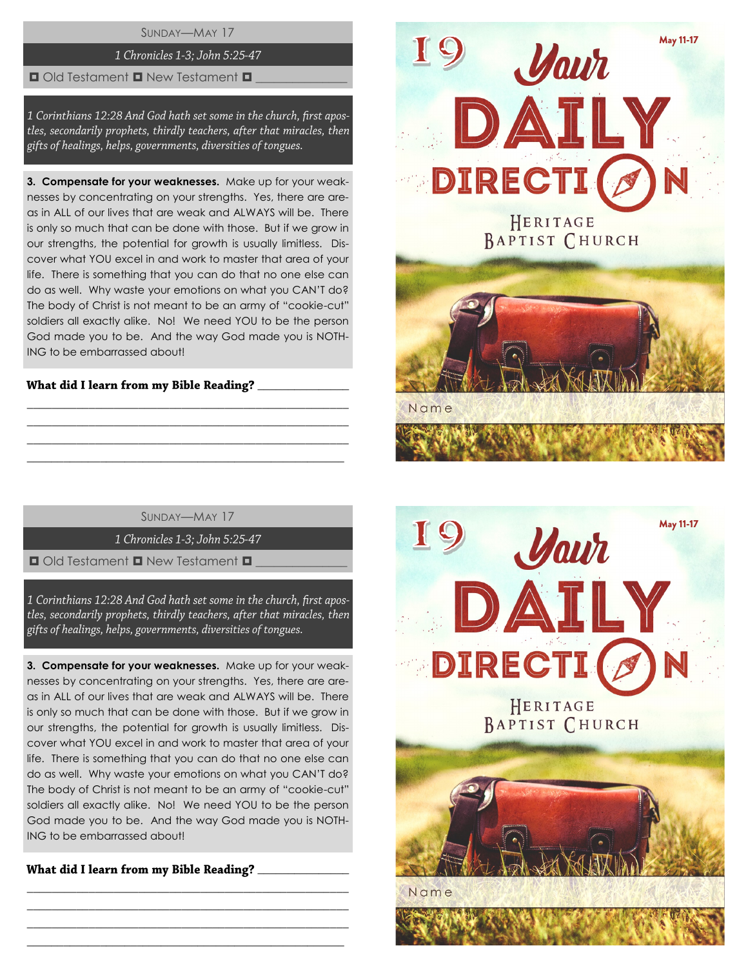SUNDAY—MAY 17

# 1 Chronicles 1-3; John 5:25-47

#### $\Box$  Old Testament  $\Box$  New Testament  $\Box$

1 Corinthians 12:28 And God hath set some in the church, first apostles, secondarily prophets, thirdly teachers, after that miracles, then gifts of healings, helps, governments, diversities of tongues.

**3. Compensate for your weaknesses.** Make up for your weaknesses by concentrating on your strengths. Yes, there are areas in ALL of our lives that are weak and ALWAYS will be. There is only so much that can be done with those. But if we grow in our strengths, the potential for growth is usually limitless. Discover what YOU excel in and work to master that area of your life. There is something that you can do that no one else can do as well. Why waste your emotions on what you CAN'T do? The body of Christ is not meant to be an army of "cookie-cut" soldiers all exactly alike. No! We need YOU to be the person God made you to be. And the way God made you is NOTH-ING to be embarrassed about!

# What did I learn from my Bible Reading?

SUNDAY—MAY 17

\_\_\_\_\_\_\_\_\_\_\_\_\_\_\_\_\_\_\_\_\_\_\_\_\_\_\_\_\_\_\_\_\_\_\_\_\_\_\_\_\_\_\_\_\_\_\_\_\_\_\_\_ \_\_\_\_\_\_\_\_\_\_\_\_\_\_\_\_\_\_\_\_\_\_\_\_\_\_\_\_\_\_\_\_\_\_\_\_\_\_\_\_\_\_\_\_\_\_\_\_\_\_\_\_ \_\_\_\_\_\_\_\_\_\_\_\_\_\_\_\_\_\_\_\_\_\_\_\_\_\_\_\_\_\_\_\_\_\_\_\_\_\_\_\_\_\_\_\_\_\_\_\_\_\_\_\_  $\_$  , and the set of the set of the set of the set of the set of the set of the set of the set of the set of the set of the set of the set of the set of the set of the set of the set of the set of the set of the set of th

1 Chronicles 1-3; John 5:25-47

 $\Box$  Old Testament  $\Box$  New Testament  $\Box$ 

1 Corinthians 12:28 And God hath set some in the church, first apostles, secondarily prophets, thirdly teachers, after that miracles, then gifts of healings, helps, governments, diversities of tongues.

**3. Compensate for your weaknesses.** Make up for your weaknesses by concentrating on your strengths. Yes, there are areas in ALL of our lives that are weak and ALWAYS will be. There is only so much that can be done with those. But if we grow in our strengths, the potential for growth is usually limitless. Discover what YOU excel in and work to master that area of your life. There is something that you can do that no one else can do as well. Why waste your emotions on what you CAN'T do? The body of Christ is not meant to be an army of "cookie-cut" soldiers all exactly alike. No! We need YOU to be the person God made you to be. And the way God made you is NOTH-ING to be embarrassed about!

\_\_\_\_\_\_\_\_\_\_\_\_\_\_\_\_\_\_\_\_\_\_\_\_\_\_\_\_\_\_\_\_\_\_\_\_\_\_\_\_\_\_\_\_\_\_\_\_\_\_\_\_ \_\_\_\_\_\_\_\_\_\_\_\_\_\_\_\_\_\_\_\_\_\_\_\_\_\_\_\_\_\_\_\_\_\_\_\_\_\_\_\_\_\_\_\_\_\_\_\_\_\_\_\_ \_\_\_\_\_\_\_\_\_\_\_\_\_\_\_\_\_\_\_\_\_\_\_\_\_\_\_\_\_\_\_\_\_\_\_\_\_\_\_\_\_\_\_\_\_\_\_\_\_\_\_\_  $\_$  , and the set of the set of the set of the set of the set of the set of the set of the set of the set of the set of the set of the set of the set of the set of the set of the set of the set of the set of the set of th

What did I learn from my Bible Reading? \_\_\_\_\_\_\_\_\_\_



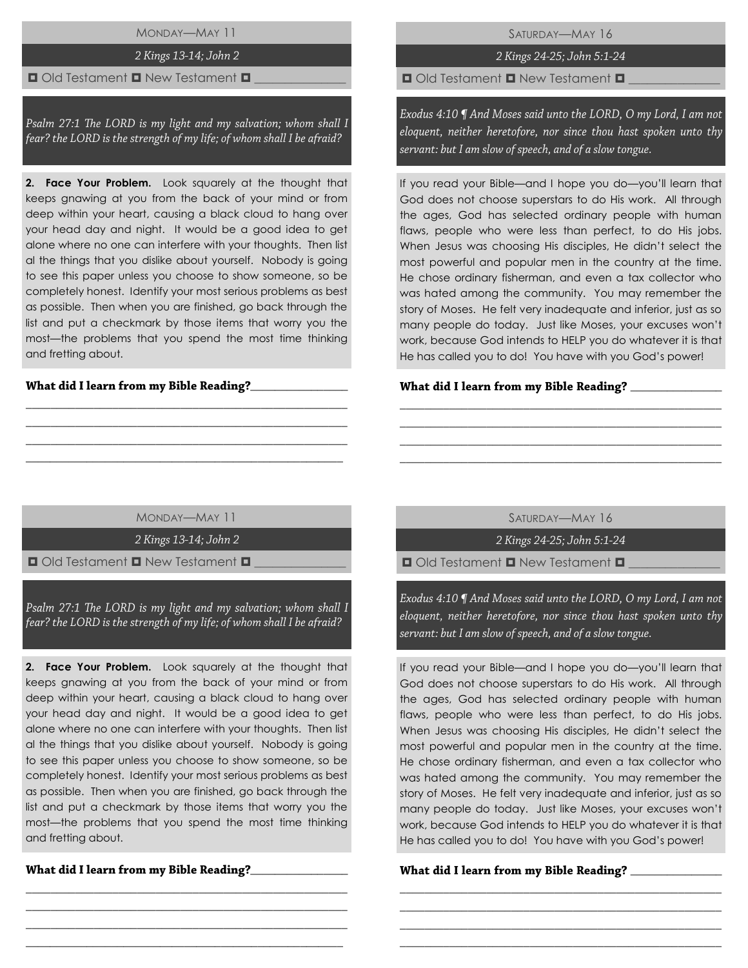MONDAY—MAY 11

# 2 Kings 13-14; John 2

## $\Box$  Old Testament  $\Box$  New Testament  $\Box$

Psalm 27:1 The LORD is my light and my salvation; whom shall I fear? the LORD is the strength of my life; of whom shall I be afraid?

**2. Face Your Problem.** Look squarely at the thought that keeps gnawing at you from the back of your mind or from deep within your heart, causing a black cloud to hang over your head day and night. It would be a good idea to get alone where no one can interfere with your thoughts. Then list al the things that you dislike about yourself. Nobody is going to see this paper unless you choose to show someone, so be completely honest. Identify your most serious problems as best as possible. Then when you are finished, go back through the list and put a checkmark by those items that worry you the most—the problems that you spend the most time thinking and fretting about.

## What did I learn from my Bible Reading?\_\_

SATURDAY—MAY 16

2 Kings 24-25; John 5:1-24

 $\Box$  Old Testament  $\Box$  New Testament  $\Box$ 

Exodus 4:10 ¶ And Moses said unto the LORD, O my Lord, I am not eloquent, neither heretofore, nor since thou hast spoken unto thy servant: but I am slow of speech, and of a slow tongue.

If you read your Bible—and I hope you do—you'll learn that God does not choose superstars to do His work. All through the ages, God has selected ordinary people with human flaws, people who were less than perfect, to do His jobs. When Jesus was choosing His disciples, He didn't select the most powerful and popular men in the country at the time. He chose ordinary fisherman, and even a tax collector who was hated among the community. You may remember the story of Moses. He felt very inadequate and inferior, just as so many people do today. Just like Moses, your excuses won't work, because God intends to HELP you do whatever it is that He has called you to do! You have with you God's power!

#### \_\_\_\_\_\_\_\_\_\_\_\_\_\_\_

MONDAY—MAY 11

\_\_\_\_\_\_\_\_\_\_\_\_\_\_\_\_\_\_\_\_\_\_\_\_\_\_\_\_\_\_\_\_\_\_\_\_\_\_\_\_\_\_\_\_\_\_\_\_\_\_\_\_ \_\_\_\_\_\_\_\_\_\_\_\_\_\_\_\_\_\_\_\_\_\_\_\_\_\_\_\_\_\_\_\_\_\_\_\_\_\_\_\_\_\_\_\_\_\_\_\_\_\_\_\_ \_\_\_\_\_\_\_\_\_\_\_\_\_\_\_\_\_\_\_\_\_\_\_\_\_\_\_\_\_\_\_\_\_\_\_\_\_\_\_\_\_\_\_\_\_\_\_\_\_\_\_\_ \_\_\_\_\_\_\_\_\_\_\_\_\_\_\_\_\_\_\_\_\_\_\_\_\_\_\_\_\_\_\_\_\_\_\_\_\_\_\_\_\_\_\_\_\_\_\_\_\_\_\_\_

2 Kings 13-14; John 2

 $\Box$  Old Testament  $\Box$  New Testament  $\Box$ 

Psalm 27:1 The LORD is my light and my salvation; whom shall I fear? the LORD is the strength of my life; of whom shall I be afraid?

**2. Face Your Problem.** Look squarely at the thought that keeps gnawing at you from the back of your mind or from deep within your heart, causing a black cloud to hang over your head day and night. It would be a good idea to get alone where no one can interfere with your thoughts. Then list al the things that you dislike about yourself. Nobody is going to see this paper unless you choose to show someone, so be completely honest. Identify your most serious problems as best as possible. Then when you are finished, go back through the list and put a checkmark by those items that worry you the most—the problems that you spend the most time thinking and fretting about.

\_\_\_\_\_\_\_\_\_\_\_\_\_\_\_\_\_\_\_\_\_\_\_\_\_\_\_\_\_\_\_\_\_\_\_\_\_\_\_\_\_\_\_\_\_\_\_\_\_\_\_\_ \_\_\_\_\_\_\_\_\_\_\_\_\_\_\_\_\_\_\_\_\_\_\_\_\_\_\_\_\_\_\_\_\_\_\_\_\_\_\_\_\_\_\_\_\_\_\_\_\_\_\_\_ \_\_\_\_\_\_\_\_\_\_\_\_\_\_\_\_\_\_\_\_\_\_\_\_\_\_\_\_\_\_\_\_\_\_\_\_\_\_\_\_\_\_\_\_\_\_\_\_\_\_\_\_ \_\_\_\_\_\_\_\_\_\_\_\_\_\_\_\_\_\_\_\_\_\_\_\_\_\_\_\_\_\_\_\_\_\_\_\_\_\_\_\_\_\_\_\_\_\_\_\_\_\_\_\_

What did I learn from my Bible Reading?\_\_\_\_\_\_\_\_\_\_\_\_

SATURDAY—MAY 16

\_\_\_\_\_\_\_\_\_\_\_\_\_\_\_\_\_\_\_\_\_\_\_\_\_\_\_\_\_\_\_\_\_\_\_\_\_\_\_\_\_\_\_\_\_\_\_\_\_\_\_\_ \_\_\_\_\_\_\_\_\_\_\_\_\_\_\_\_\_\_\_\_\_\_\_\_\_\_\_\_\_\_\_\_\_\_\_\_\_\_\_\_\_\_\_\_\_\_\_\_\_\_\_\_ \_\_\_\_\_\_\_\_\_\_\_\_\_\_\_\_\_\_\_\_\_\_\_\_\_\_\_\_\_\_\_\_\_\_\_\_\_\_\_\_\_\_\_\_\_\_\_\_\_\_\_\_ \_\_\_\_\_\_\_\_\_\_\_\_\_\_\_\_\_\_\_\_\_\_\_\_\_\_\_\_\_\_\_\_\_\_\_\_\_\_\_\_\_\_\_\_\_\_\_\_\_\_\_\_

2 Kings 24-25; John 5:1-24

 $\Box$  Old Testament  $\Box$  New Testament  $\Box$ 

Exodus 4:10 ¶ And Moses said unto the LORD, O my Lord, I am not eloquent, neither heretofore, nor since thou hast spoken unto thy servant: but I am slow of speech, and of a slow tongue.

If you read your Bible—and I hope you do—you'll learn that God does not choose superstars to do His work. All through the ages, God has selected ordinary people with human flaws, people who were less than perfect, to do His jobs. When Jesus was choosing His disciples, He didn't select the most powerful and popular men in the country at the time. He chose ordinary fisherman, and even a tax collector who was hated among the community. You may remember the story of Moses. He felt very inadequate and inferior, just as so many people do today. Just like Moses, your excuses won't work, because God intends to HELP you do whatever it is that He has called you to do! You have with you God's power!

\_\_\_\_\_\_\_\_\_\_\_\_\_\_\_\_\_\_\_\_\_\_\_\_\_\_\_\_\_\_\_\_\_\_\_\_\_\_\_\_\_\_\_\_\_\_\_\_\_\_\_\_ \_\_\_\_\_\_\_\_\_\_\_\_\_\_\_\_\_\_\_\_\_\_\_\_\_\_\_\_\_\_\_\_\_\_\_\_\_\_\_\_\_\_\_\_\_\_\_\_\_\_\_\_ \_\_\_\_\_\_\_\_\_\_\_\_\_\_\_\_\_\_\_\_\_\_\_\_\_\_\_\_\_\_\_\_\_\_\_\_\_\_\_\_\_\_\_\_\_\_\_\_\_\_\_\_ \_\_\_\_\_\_\_\_\_\_\_\_\_\_\_\_\_\_\_\_\_\_\_\_\_\_\_\_\_\_\_\_\_\_\_\_\_\_\_\_\_\_\_\_\_\_\_\_\_\_\_\_

#### What did I learn from my Bible Reading? \_\_\_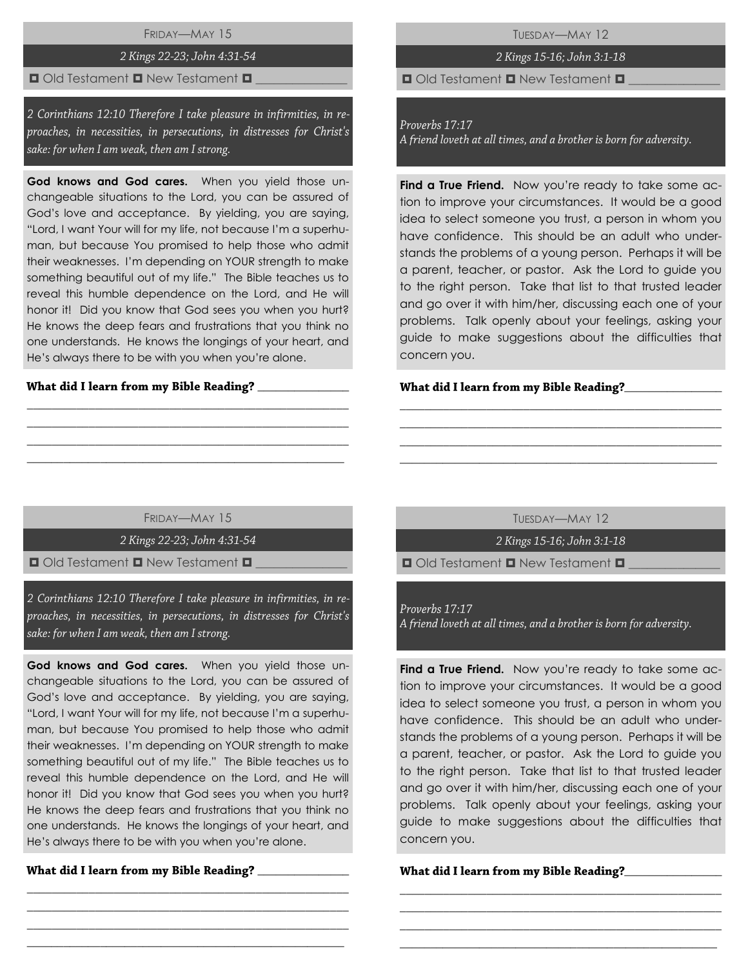# FRIDAY—MAY 15

## 2 Kings 22-23; John 4:31-54

# $\Box$  Old Testament  $\Box$  New Testament  $\Box$

2 Corinthians 12:10 Therefore I take pleasure in infirmities, in reproaches, in necessities, in persecutions, in distresses for Christ's sake: for when I am weak, then am I strong.

**God knows and God cares.** When you yield those unchangeable situations to the Lord, you can be assured of God's love and acceptance. By yielding, you are saying, "Lord, I want Your will for my life, not because I'm a superhuman, but because You promised to help those who admit their weaknesses. I'm depending on YOUR strength to make something beautiful out of my life." The Bible teaches us to reveal this humble dependence on the Lord, and He will honor it! Did you know that God sees you when you hurt? He knows the deep fears and frustrations that you think no one understands. He knows the longings of your heart, and He's always there to be with you when you're alone.

#### What did I learn from my Bible Reading?

TUESDAY—MAY 12

# 2 Kings 15-16; John 3:1-18

 $\Box$  Old Testament  $\Box$  New Testament  $\Box$ 

#### Proverbs 17:17

A friend loveth at all times, and a brother is born for adversity.

**Find a True Friend.** Now you're ready to take some action to improve your circumstances. It would be a good idea to select someone you trust, a person in whom you have confidence. This should be an adult who understands the problems of a young person. Perhaps it will be a parent, teacher, or pastor. Ask the Lord to guide you to the right person. Take that list to that trusted leader and go over it with him/her, discussing each one of your problems. Talk openly about your feelings, asking your guide to make suggestions about the difficulties that concern you.

#### What did I learn from my Bible Reading?\_\_\_\_

# FRIDAY—MAY 15

\_\_\_\_\_\_\_\_\_\_\_\_\_\_\_\_\_\_\_\_\_\_\_\_\_\_\_\_\_\_\_\_\_\_\_\_\_\_\_\_\_\_\_\_\_\_\_\_\_\_\_\_ \_\_\_\_\_\_\_\_\_\_\_\_\_\_\_\_\_\_\_\_\_\_\_\_\_\_\_\_\_\_\_\_\_\_\_\_\_\_\_\_\_\_\_\_\_\_\_\_\_\_\_\_ \_\_\_\_\_\_\_\_\_\_\_\_\_\_\_\_\_\_\_\_\_\_\_\_\_\_\_\_\_\_\_\_\_\_\_\_\_\_\_\_\_\_\_\_\_\_\_\_\_\_\_\_  $\_$  , and the set of the set of the set of the set of the set of the set of the set of the set of the set of the set of the set of the set of the set of the set of the set of the set of the set of the set of the set of th

2 Kings 22-23; John 4:31-54

 $\Box$  Old Testament  $\Box$  New Testament  $\Box$ 

2 Corinthians 12:10 Therefore I take pleasure in infirmities, in reproaches, in necessities, in persecutions, in distresses for Christ's sake: for when I am weak, then am I strong.

**God knows and God cares.** When you yield those unchangeable situations to the Lord, you can be assured of God's love and acceptance. By yielding, you are saying, "Lord, I want Your will for my life, not because I'm a superhuman, but because You promised to help those who admit their weaknesses. I'm depending on YOUR strength to make something beautiful out of my life." The Bible teaches us to reveal this humble dependence on the Lord, and He will honor it! Did you know that God sees you when you hurt? He knows the deep fears and frustrations that you think no one understands. He knows the longings of your heart, and He's always there to be with you when you're alone.

\_\_\_\_\_\_\_\_\_\_\_\_\_\_\_\_\_\_\_\_\_\_\_\_\_\_\_\_\_\_\_\_\_\_\_\_\_\_\_\_\_\_\_\_\_\_\_\_\_\_\_\_ \_\_\_\_\_\_\_\_\_\_\_\_\_\_\_\_\_\_\_\_\_\_\_\_\_\_\_\_\_\_\_\_\_\_\_\_\_\_\_\_\_\_\_\_\_\_\_\_\_\_\_\_ \_\_\_\_\_\_\_\_\_\_\_\_\_\_\_\_\_\_\_\_\_\_\_\_\_\_\_\_\_\_\_\_\_\_\_\_\_\_\_\_\_\_\_\_\_\_\_\_\_\_\_\_  $\_$  , and the set of the set of the set of the set of the set of the set of the set of the set of the set of the set of the set of the set of the set of the set of the set of the set of the set of the set of the set of th

## \_\_\_\_\_\_\_\_\_\_\_\_\_\_\_

TUESDAY—MAY 12

\_\_\_\_\_\_\_\_\_\_\_\_\_\_\_\_\_\_\_\_\_\_\_\_\_\_\_\_\_\_\_\_\_\_\_\_\_\_\_\_\_\_\_\_\_\_\_\_\_\_\_\_ \_\_\_\_\_\_\_\_\_\_\_\_\_\_\_\_\_\_\_\_\_\_\_\_\_\_\_\_\_\_\_\_\_\_\_\_\_\_\_\_\_\_\_\_\_\_\_\_\_\_\_\_ \_\_\_\_\_\_\_\_\_\_\_\_\_\_\_\_\_\_\_\_\_\_\_\_\_\_\_\_\_\_\_\_\_\_\_\_\_\_\_\_\_\_\_\_\_\_\_\_\_\_\_\_ \_\_\_\_\_\_\_\_\_\_\_\_\_\_\_\_\_\_\_\_\_\_\_\_\_\_\_\_\_\_\_\_\_\_\_\_\_\_\_\_\_\_\_\_\_\_\_\_\_\_\_\_

2 Kings 15-16; John 3:1-18

 $\Box$  Old Testament  $\Box$  New Testament  $\Box$ 

Proverbs 17:17

A friend loveth at all times, and a brother is born for adversity.

**Find a True Friend.** Now you're ready to take some action to improve your circumstances. It would be a good idea to select someone you trust, a person in whom you have confidence. This should be an adult who understands the problems of a young person. Perhaps it will be a parent, teacher, or pastor. Ask the Lord to guide you to the right person. Take that list to that trusted leader and go over it with him/her, discussing each one of your problems. Talk openly about your feelings, asking your guide to make suggestions about the difficulties that concern you.

\_\_\_\_\_\_\_\_\_\_\_\_\_\_\_\_\_\_\_\_\_\_\_\_\_\_\_\_\_\_\_\_\_\_\_\_\_\_\_\_\_\_\_\_\_\_\_\_\_\_\_\_ \_\_\_\_\_\_\_\_\_\_\_\_\_\_\_\_\_\_\_\_\_\_\_\_\_\_\_\_\_\_\_\_\_\_\_\_\_\_\_\_\_\_\_\_\_\_\_\_\_\_\_\_ \_\_\_\_\_\_\_\_\_\_\_\_\_\_\_\_\_\_\_\_\_\_\_\_\_\_\_\_\_\_\_\_\_\_\_\_\_\_\_\_\_\_\_\_\_\_\_\_\_\_\_\_ \_\_\_\_\_\_\_\_\_\_\_\_\_\_\_\_\_\_\_\_\_\_\_\_\_\_\_\_\_\_\_\_\_\_\_\_\_\_\_\_\_\_\_\_\_\_\_\_\_\_\_\_

## What did I learn from my Bible Reading?\_\_\_\_\_